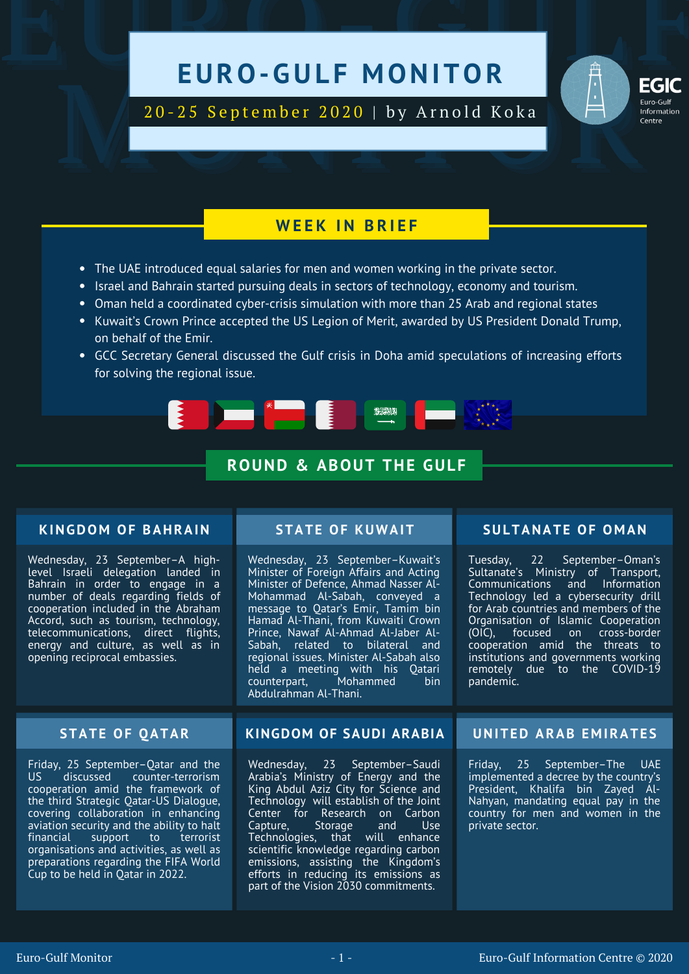# EURO-GULF MONITOR EXAMPLE ON THE MONITOR TESTING

**EGIC**<br>
20-25 September 2020 | by Arnold Koka<br> **EGIC**<br> **EGIC**<br> **EGIC**<br> **EGIC**<br> **EGIC** 20 - 25 September 2020 | by Arnold Koka

### **W E E K I N B R I E F**

- The UAE introduced equal salaries for men and women working in the private sector.
- Israel and Bahrain started pursuing deals in sectors of technology, economy and tourism.
- Oman held a coordinated cyber-crisis simulation with more than 25 Arab and regional states
- Kuwait's Crown Prince accepted the US Legion of Merit, awarded by US President Donald Trump, on behalf of the Emir.
- GCC Secretary General discussed the Gulf crisis in Doha amid speculations of increasing efforts for solving the regional issue.

**2020)** 

### **RE Experience**

### **ROUND & ABOUT THE GULF**

### **KINGDOM OF BAHRAIN**

Wednesday, 23 September–A highlevel Israeli delegation landed in Bahrain in order to engage in a number of deals regarding fields of cooperation included in the Abraham Accord, such as tourism, technology, telecommunications, direct flights, energy and culture, as well as in opening reciprocal embassies.

Friday, 25 September–Qatar and the<br>US discussed counter-terrorism discussed counter-terrorism cooperation amid the framework of the third Strategic Qatar-US Dialogue, covering collaboration in enhancing aviation security and the ability to halt<br>financial support to terrorist support to organisations and activities, as well as preparations regarding the FIFA World Cup to be held in Qatar in 2022.

Wednesday, 23 September–Kuwait's Minister of Foreign Affairs and Acting Minister of Defence, Ahmad Nasser Al-Mohammad Al-Sabah, conveyed a message to Qatar's Emir, Tamim bin Hamad Al-Thani, from Kuwaiti Crown Prince, Nawaf Al-Ahmad Al-Jaber Al-Sabah, related to bilateral and regional issues. Minister Al-Sabah also held a meeting with his Qatari<br>counterpart. Mohammed bin counterpart. Abdulrahman Al-Thani.

### **STATE OF KUWAIT SULTANATE OF O M AN**

Tuesday, 22 September–Oman's Sultanate's Ministry of Transport, Communications and Information Technology led a cybersecurity drill for Arab countries and members of the Organisation of Islamic Cooperation (OIC), focused on cross-border cooperation amid the threats to institutions and governments working remotely due to the COVID-19 pandemic.

### **STATE OF QATAR KINGDOM OF SAUDI ARABIA UNITED ARAB E M IRATE S**

Wednesday, 23 September–Saudi Arabia's Ministry of Energy and the King Abdul Aziz City for Science and Technology will establish of the Joint Center for Research on Carbon<br>Capture, Storage and Use Capture, Technologies, that will enhance scientific knowledge regarding carbon emissions, assisting the Kingdom's efforts in reducing its emissions as part of the Vision 2030 commitments.

Friday, 25 September–The UAE implemented a decree by the country's President, Khalifa bin Zayed Al-Nahyan, mandating equal pay in the country for men and women in the private sector.